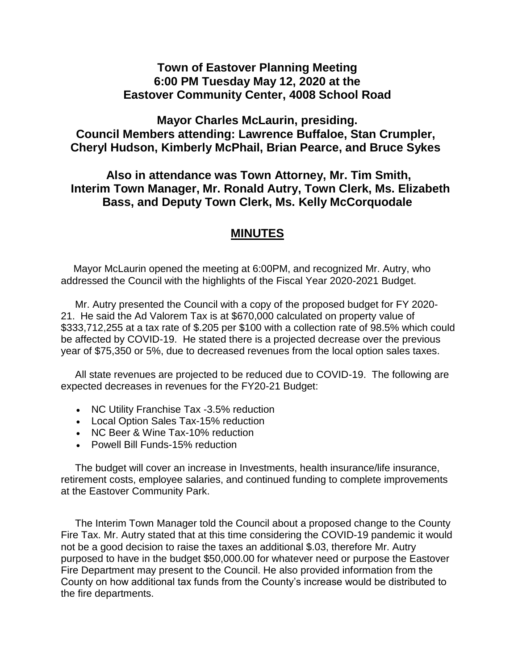## **Town of Eastover Planning Meeting 6:00 PM Tuesday May 12, 2020 at the Eastover Community Center, 4008 School Road**

**Mayor Charles McLaurin, presiding. Council Members attending: Lawrence Buffaloe, Stan Crumpler, Cheryl Hudson, Kimberly McPhail, Brian Pearce, and Bruce Sykes**

## **Also in attendance was Town Attorney, Mr. Tim Smith, Interim Town Manager, Mr. Ronald Autry, Town Clerk, Ms. Elizabeth Bass, and Deputy Town Clerk, Ms. Kelly McCorquodale**

## **MINUTES**

Mayor McLaurin opened the meeting at 6:00PM, and recognized Mr. Autry, who addressed the Council with the highlights of the Fiscal Year 2020-2021 Budget.

Mr. Autry presented the Council with a copy of the proposed budget for FY 2020- 21. He said the Ad Valorem Tax is at \$670,000 calculated on property value of \$333,712,255 at a tax rate of \$.205 per \$100 with a collection rate of 98.5% which could be affected by COVID-19. He stated there is a projected decrease over the previous year of \$75,350 or 5%, due to decreased revenues from the local option sales taxes.

All state revenues are projected to be reduced due to COVID-19. The following are expected decreases in revenues for the FY20-21 Budget:

- NC Utility Franchise Tax -3.5% reduction
- Local Option Sales Tax-15% reduction
- NC Beer & Wine Tax-10% reduction
- Powell Bill Funds-15% reduction

The budget will cover an increase in Investments, health insurance/life insurance, retirement costs, employee salaries, and continued funding to complete improvements at the Eastover Community Park.

The Interim Town Manager told the Council about a proposed change to the County Fire Tax. Mr. Autry stated that at this time considering the COVID-19 pandemic it would not be a good decision to raise the taxes an additional \$.03, therefore Mr. Autry purposed to have in the budget \$50,000.00 for whatever need or purpose the Eastover Fire Department may present to the Council. He also provided information from the County on how additional tax funds from the County's increase would be distributed to the fire departments.